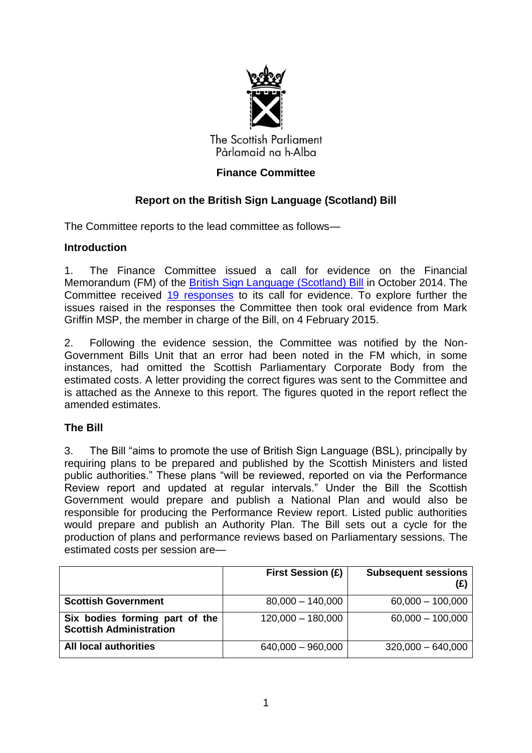

The Scottish Parliament Pàrlamaid na h-Alba

# **Finance Committee**

# **Report on the British Sign Language (Scotland) Bill**

The Committee reports to the lead committee as follows—

# **Introduction**

1. The Finance Committee issued a call for evidence on the Financial Memorandum (FM) of the British Sign Language (Scotland) Bill in October 2014. The Committee received 19 [responses to its call for evidence. To](http://www.scottish.parliament.uk/parliamentarybusiness/Bills/82853.aspx) explore further the issues raised in the [responses the](http://www.scottish.parliament.uk/parliamentarybusiness/CurrentCommittees/83953.aspx) Committee then took oral evidence from Mark Griffin MSP, the member in charge of the Bill, on 4 February 2015.

2. Following the evidence session, the Committee was notified by the Non-Government Bills Unit that an error had been noted in the FM which, in some instances, had omitted the Scottish Parliamentary Corporate Body from the estimated costs. A letter providing the correct figures was sent to the Committee and is attached as the Annexe to this report. The figures quoted in the report reflect the amended estimates.

# **The Bill**

3. The Bill "aims to promote the use of British Sign Language (BSL), principally by requiring plans to be prepared and published by the Scottish Ministers and listed public authorities." These plans "will be reviewed, reported on via the Performance Review report and updated at regular intervals." Under the Bill the Scottish Government would prepare and publish a National Plan and would also be responsible for producing the Performance Review report. Listed public authorities would prepare and publish an Authority Plan. The Bill sets out a cycle for the production of plans and performance reviews based on Parliamentary sessions. The estimated costs per session are—

|                                                                  | <b>First Session (£)</b> | <b>Subsequent sessions</b><br>(E) |
|------------------------------------------------------------------|--------------------------|-----------------------------------|
| <b>Scottish Government</b>                                       | $80,000 - 140,000$       | $60,000 - 100,000$                |
| Six bodies forming part of the<br><b>Scottish Administration</b> | $120,000 - 180,000$      | $60,000 - 100,000$                |
| <b>All local authorities</b>                                     | $640,000 - 960,000$      | $320,000 - 640,000$               |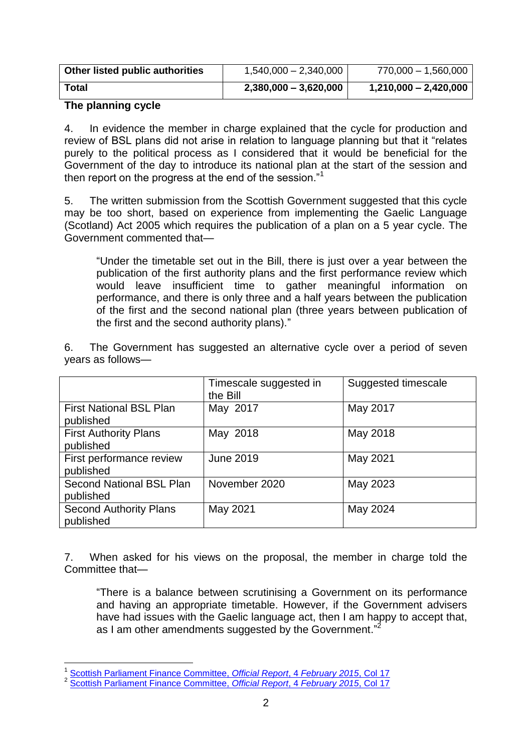| Other listed public authorities | 1,540,000 - 2,340,000   | 770,000 - 1,560,000     |
|---------------------------------|-------------------------|-------------------------|
| Total                           | $2,380,000 - 3,620,000$ | $1,210,000 - 2,420,000$ |

# **The planning cycle**

4. In evidence the member in charge explained that the cycle for production and review of BSL plans did not arise in relation to language planning but that it "relates purely to the political process as I considered that it would be beneficial for the Government of the day to introduce its national plan at the start of the session and then report on the progress at the end of the session. $11$ 

5. The written submission from the Scottish Government suggested that this cycle may be too short, based on experience from implementing the Gaelic Language (Scotland) Act 2005 which requires the publication of a plan on a 5 year cycle. The Government commented that—

―Under the timetable set out in the Bill, there is just over a year between the publication of the first authority plans and the first performance review which would leave insufficient time to gather meaningful information on performance, and there is only three and a half years between the publication of the first and the second national plan (three years between publication of the first and the second authority plans)."

6. The Government has suggested an alternative cycle over a period of seven years as follows—

|                                              | Timescale suggested in<br>the Bill | Suggested timescale |
|----------------------------------------------|------------------------------------|---------------------|
| <b>First National BSL Plan</b><br>published  | May 2017                           | May 2017            |
| <b>First Authority Plans</b><br>published    | May 2018                           | May 2018            |
| First performance review<br>published        | <b>June 2019</b>                   | May 2021            |
| <b>Second National BSL Plan</b><br>published | November 2020                      | May 2023            |
| <b>Second Authority Plans</b><br>published   | May 2021                           | May 2024            |

7. When asked for his views on the proposal, the member in charge told the Committee that—

―There is a balance between scrutinising a Government on its performance and having an appropriate timetable. However, if the Government advisers have had issues with the Gaelic language act, then I am happy to accept that, as I am other amendments suggested by the Government."<sup>2</sup>

 1 [Scottish Parliament Finance Committee,](http://www.scottish.parliament.uk/parliamentarybusiness/28862.aspx?r=9766&mode=pdf) *Official Report*, 4 *February 2015*, Col 17 2 [Scottish Parliament Finance Committee,](http://www.scottish.parliament.uk/parliamentarybusiness/28862.aspx?r=9766&mode=pdf) *Official Report*, 4 *February 2015*, Col 17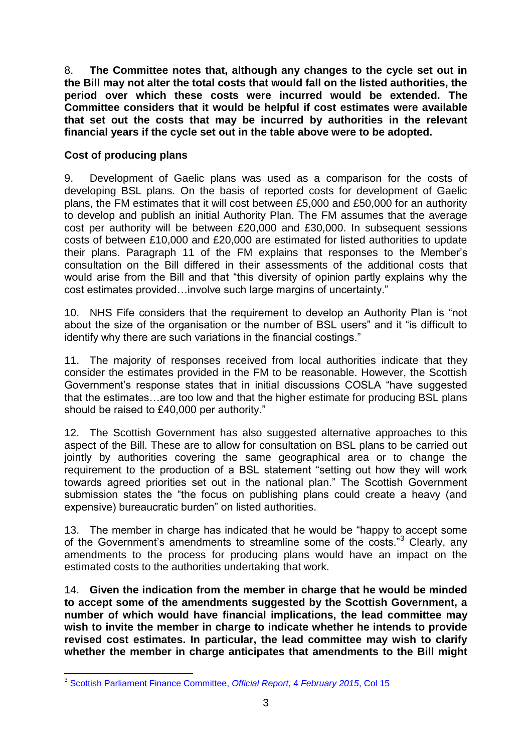8. **The Committee notes that, although any changes to the cycle set out in the Bill may not alter the total costs that would fall on the listed authorities, the period over which these costs were incurred would be extended. The Committee considers that it would be helpful if cost estimates were available that set out the costs that may be incurred by authorities in the relevant financial years if the cycle set out in the table above were to be adopted.**

# **Cost of producing plans**

9. Development of Gaelic plans was used as a comparison for the costs of developing BSL plans. On the basis of reported costs for development of Gaelic plans, the FM estimates that it will cost between £5,000 and £50,000 for an authority to develop and publish an initial Authority Plan. The FM assumes that the average cost per authority will be between £20,000 and £30,000. In subsequent sessions costs of between £10,000 and £20,000 are estimated for listed authorities to update their plans. Paragraph 11 of the FM explains that responses to the Member's consultation on the Bill differed in their assessments of the additional costs that would arise from the Bill and that "this diversity of opinion partly explains why the cost estimates provided...involve such large margins of uncertainty."

10. NHS Fife considers that the requirement to develop an Authority Plan is "not about the size of the organisation or the number of BSL users" and it "is difficult to identify why there are such variations in the financial costings."

11. The majority of responses received from local authorities indicate that they consider the estimates provided in the FM to be reasonable. However, the Scottish Government's response states that in initial discussions COSLA "have suggested that the estimates…are too low and that the higher estimate for producing BSL plans should be raised to £40,000 per authority."

12. The Scottish Government has also suggested alternative approaches to this aspect of the Bill. These are to allow for consultation on BSL plans to be carried out jointly by authorities covering the same geographical area or to change the requirement to the production of a BSL statement "setting out how they will work towards agreed priorities set out in the national plan." The Scottish Government submission states the "the focus on publishing plans could create a heavy (and expensive) bureaucratic burden" on listed authorities.

13. The member in charge has indicated that he would be "happy to accept some of the Government's amendments to streamline some of the costs."<sup>3</sup> Clearly, any amendments to the process for producing plans would have an impact on the estimated costs to the authorities undertaking that work.

14. **Given the indication from the member in charge that he would be minded to accept some of the amendments suggested by the Scottish Government, a number of which would have financial implications, the lead committee may wish to invite the member in charge to indicate whether he intends to provide revised cost estimates. In particular, the lead committee may wish to clarify whether the member in charge anticipates that amendments to the Bill might** 

 3 [Scottish Parliament Finance Committee,](http://www.scottish.parliament.uk/parliamentarybusiness/28862.aspx?r=9766&mode=pdf) *Official Report*, 4 *February 2015*, Col 15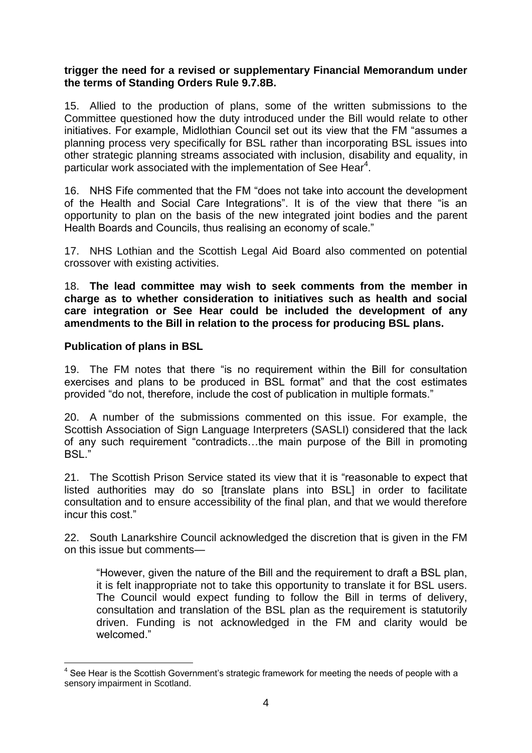#### **trigger the need for a revised or supplementary Financial Memorandum under the terms of Standing Orders Rule 9.7.8B.**

15. Allied to the production of plans, some of the written submissions to the Committee questioned how the duty introduced under the Bill would relate to other initiatives. For example, Midlothian Council set out its view that the FM "assumes a planning process very specifically for BSL rather than incorporating BSL issues into other strategic planning streams associated with inclusion, disability and equality, in particular work associated with the implementation of See Hear<sup>4</sup>.

16. NHS Fife commented that the FM "does not take into account the development of the Health and Social Care Integrations". It is of the view that there "is an opportunity to plan on the basis of the new integrated joint bodies and the parent Health Boards and Councils, thus realising an economy of scale."

17. NHS Lothian and the Scottish Legal Aid Board also commented on potential crossover with existing activities.

18. **The lead committee may wish to seek comments from the member in charge as to whether consideration to initiatives such as health and social care integration or See Hear could be included the development of any amendments to the Bill in relation to the process for producing BSL plans.**

#### **Publication of plans in BSL**

19. The FM notes that there "is no requirement within the Bill for consultation exercises and plans to be produced in BSL format" and that the cost estimates provided "do not, therefore, include the cost of publication in multiple formats."

20. A number of the submissions commented on this issue. For example, the Scottish Association of Sign Language Interpreters (SASLI) considered that the lack of any such requirement "contradicts...the main purpose of the Bill in promoting BSL."

21. The Scottish Prison Service stated its view that it is "reasonable to expect that listed authorities may do so [translate plans into BSL] in order to facilitate consultation and to ensure accessibility of the final plan, and that we would therefore incur this cost."

22. South Lanarkshire Council acknowledged the discretion that is given in the FM on this issue but comments—

―However, given the nature of the Bill and the requirement to draft a BSL plan, it is felt inappropriate not to take this opportunity to translate it for BSL users. The Council would expect funding to follow the Bill in terms of delivery, consultation and translation of the BSL plan as the requirement is statutorily driven. Funding is not acknowledged in the FM and clarity would be welcomed."

 4 See Hear is the Scottish Government's strategic framework for meeting the needs of people with a sensory impairment in Scotland.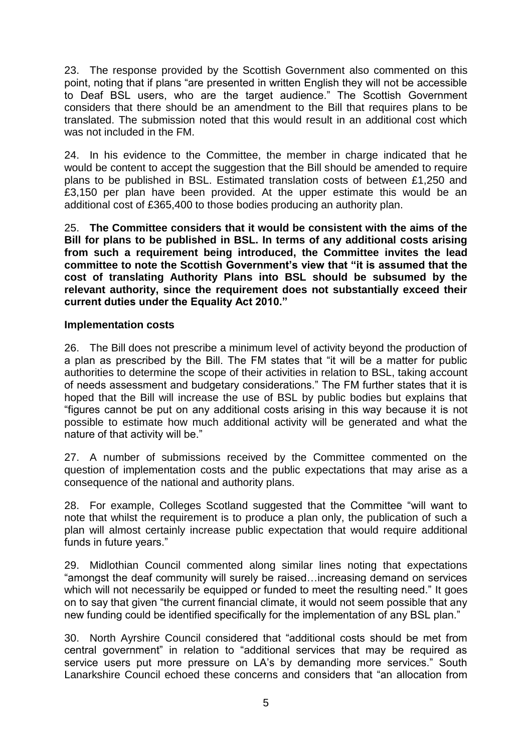23. The response provided by the Scottish Government also commented on this point, noting that if plans "are presented in written English they will not be accessible to Deaf BSL users, who are the target audience." The Scottish Government considers that there should be an amendment to the Bill that requires plans to be translated. The submission noted that this would result in an additional cost which was not included in the FM.

24. In his evidence to the Committee, the member in charge indicated that he would be content to accept the suggestion that the Bill should be amended to require plans to be published in BSL. Estimated translation costs of between £1,250 and £3,150 per plan have been provided. At the upper estimate this would be an additional cost of £365,400 to those bodies producing an authority plan.

25. **The Committee considers that it would be consistent with the aims of the Bill for plans to be published in BSL. In terms of any additional costs arising from such a requirement being introduced, the Committee invites the lead committee to note the Scottish Government's view that "it is assumed that the cost of translating Authority Plans into BSL should be subsumed by the relevant authority, since the requirement does not substantially exceed their current duties under the Equality Act 2010."**

#### **Implementation costs**

26. The Bill does not prescribe a minimum level of activity beyond the production of a plan as prescribed by the Bill. The FM states that "it will be a matter for public authorities to determine the scope of their activities in relation to BSL, taking account of needs assessment and budgetary considerations.‖ The FM further states that it is hoped that the Bill will increase the use of BSL by public bodies but explains that ―figures cannot be put on any additional costs arising in this way because it is not possible to estimate how much additional activity will be generated and what the nature of that activity will be."

27. A number of submissions received by the Committee commented on the question of implementation costs and the public expectations that may arise as a consequence of the national and authority plans.

28. For example, Colleges Scotland suggested that the Committee "will want to note that whilst the requirement is to produce a plan only, the publication of such a plan will almost certainly increase public expectation that would require additional funds in future years."

29. Midlothian Council commented along similar lines noting that expectations "amongst the deaf community will surely be raised...increasing demand on services which will not necessarily be equipped or funded to meet the resulting need." It goes on to say that given "the current financial climate, it would not seem possible that any new funding could be identified specifically for the implementation of any BSL plan."

30. North Ayrshire Council considered that "additional costs should be met from central government" in relation to "additional services that may be required as service users put more pressure on LA's by demanding more services." South Lanarkshire Council echoed these concerns and considers that "an allocation from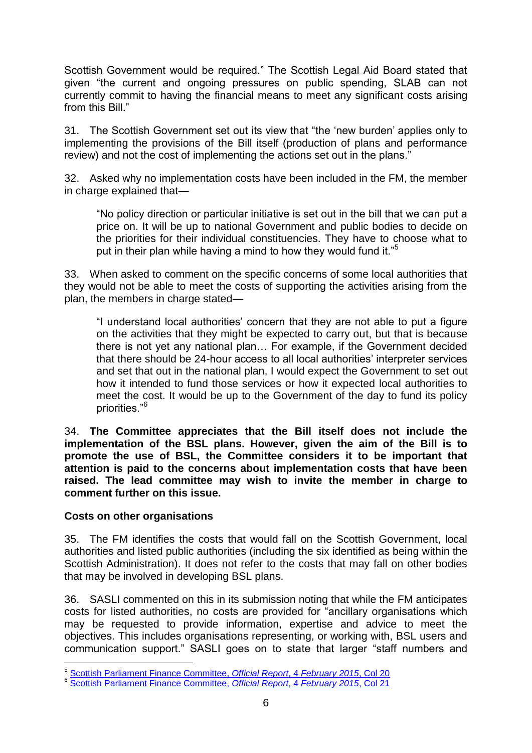Scottish Government would be required." The Scottish Legal Aid Board stated that given "the current and ongoing pressures on public spending, SLAB can not currently commit to having the financial means to meet any significant costs arising from this Bill."

31. The Scottish Government set out its view that "the 'new burden' applies only to implementing the provisions of the Bill itself (production of plans and performance review) and not the cost of implementing the actions set out in the plans."

32. Asked why no implementation costs have been included in the FM, the member in charge explained that—

―No policy direction or particular initiative is set out in the bill that we can put a price on. It will be up to national Government and public bodies to decide on the priorities for their individual constituencies. They have to choose what to put in their plan while having a mind to how they would fund it. $5$ 

33. When asked to comment on the specific concerns of some local authorities that they would not be able to meet the costs of supporting the activities arising from the plan, the members in charge stated—

"I understand local authorities' concern that they are not able to put a figure on the activities that they might be expected to carry out, but that is because there is not yet any national plan… For example, if the Government decided that there should be 24-hour access to all local authorities' interpreter services and set that out in the national plan, I would expect the Government to set out how it intended to fund those services or how it expected local authorities to meet the cost. It would be up to the Government of the day to fund its policy priorities."<sup>6</sup>

34. **The Committee appreciates that the Bill itself does not include the implementation of the BSL plans. However, given the aim of the Bill is to promote the use of BSL, the Committee considers it to be important that attention is paid to the concerns about implementation costs that have been raised. The lead committee may wish to invite the member in charge to comment further on this issue.**

# **Costs on other organisations**

35. The FM identifies the costs that would fall on the Scottish Government, local authorities and listed public authorities (including the six identified as being within the Scottish Administration). It does not refer to the costs that may fall on other bodies that may be involved in developing BSL plans.

36. SASLI commented on this in its submission noting that while the FM anticipates costs for listed authorities, no costs are provided for "ancillary organisations which may be requested to provide information, expertise and advice to meet the objectives. This includes organisations representing, or working with, BSL users and communication support." SASLI goes on to state that larger "staff numbers and

 5 [Scottish Parliament Finance Committee,](http://www.scottish.parliament.uk/parliamentarybusiness/28862.aspx?r=9766&mode=pdf) *Official Report*, 4 *February 2015*, Col 20

<sup>6</sup> [Scottish Parliament Finance Committee,](http://www.scottish.parliament.uk/parliamentarybusiness/28862.aspx?r=9766&mode=pdf) *Official Report*, 4 *February 2015*, Col 21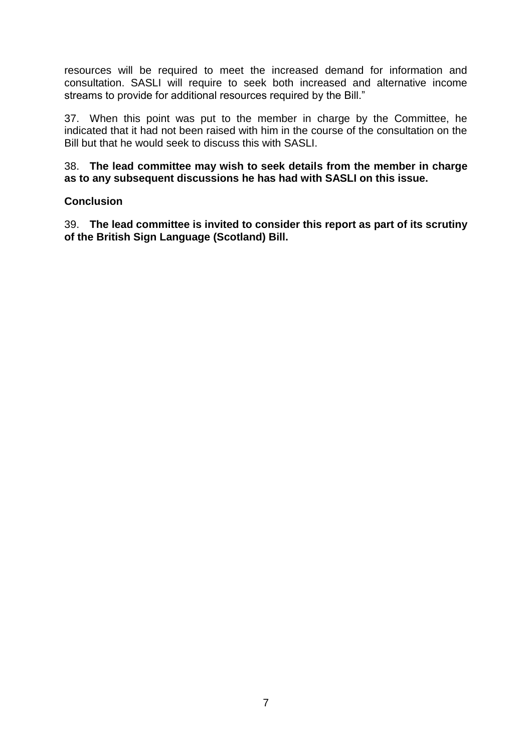resources will be required to meet the increased demand for information and consultation. SASLI will require to seek both increased and alternative income streams to provide for additional resources required by the Bill."

37. When this point was put to the member in charge by the Committee, he indicated that it had not been raised with him in the course of the consultation on the Bill but that he would seek to discuss this with SASLI.

38. **The lead committee may wish to seek details from the member in charge as to any subsequent discussions he has had with SASLI on this issue.**

# **Conclusion**

39. **The lead committee is invited to consider this report as part of its scrutiny of the British Sign Language (Scotland) Bill.**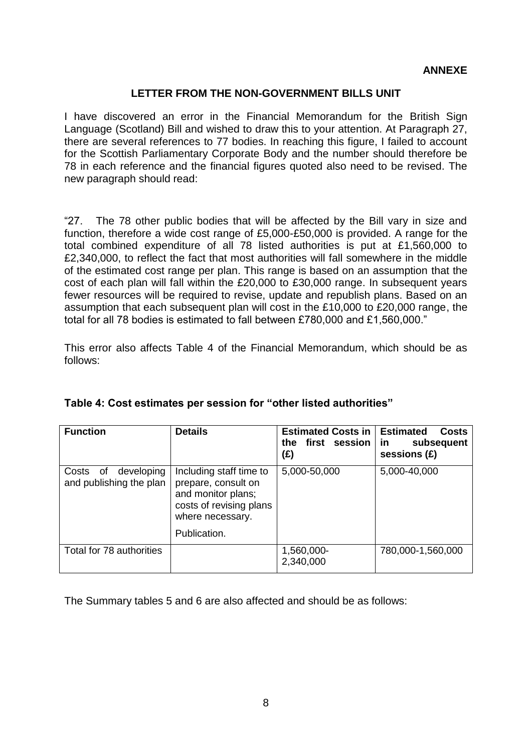# **ANNEXE**

#### **LETTER FROM THE NON-GOVERNMENT BILLS UNIT**

I have discovered an error in the Financial Memorandum for the British Sign Language (Scotland) Bill and wished to draw this to your attention. At Paragraph 27, there are several references to 77 bodies. In reaching this figure, I failed to account for the Scottish Parliamentary Corporate Body and the number should therefore be 78 in each reference and the financial figures quoted also need to be revised. The new paragraph should read:

"27. The 78 other public bodies that will be affected by the Bill vary in size and function, therefore a wide cost range of £5,000-£50,000 is provided. A range for the total combined expenditure of all 78 listed authorities is put at £1,560,000 to £2,340,000, to reflect the fact that most authorities will fall somewhere in the middle of the estimated cost range per plan. This range is based on an assumption that the cost of each plan will fall within the £20,000 to £30,000 range. In subsequent years fewer resources will be required to revise, update and republish plans. Based on an assumption that each subsequent plan will cost in the £10,000 to £20,000 range, the total for all 78 bodies is estimated to fall between £780,000 and £1,560,000."

This error also affects Table 4 of the Financial Memorandum, which should be as follows:

| <b>Function</b>                                      | <b>Details</b>                                                                                                                      | <b>Estimated Costs in</b><br>first session<br>the <b>the</b><br>(£) | <b>Estimated</b><br>Costs<br>in<br>subsequent<br>sessions $(E)$ |
|------------------------------------------------------|-------------------------------------------------------------------------------------------------------------------------------------|---------------------------------------------------------------------|-----------------------------------------------------------------|
| developing<br>of<br>Costs<br>and publishing the plan | Including staff time to<br>prepare, consult on<br>and monitor plans;<br>costs of revising plans<br>where necessary.<br>Publication. | 5,000-50,000                                                        | 5,000-40,000                                                    |
| Total for 78 authorities                             |                                                                                                                                     | 1,560,000-<br>2,340,000                                             | 780,000-1,560,000                                               |

# **Table 4: Cost estimates per session for "other listed authorities"**

The Summary tables 5 and 6 are also affected and should be as follows: